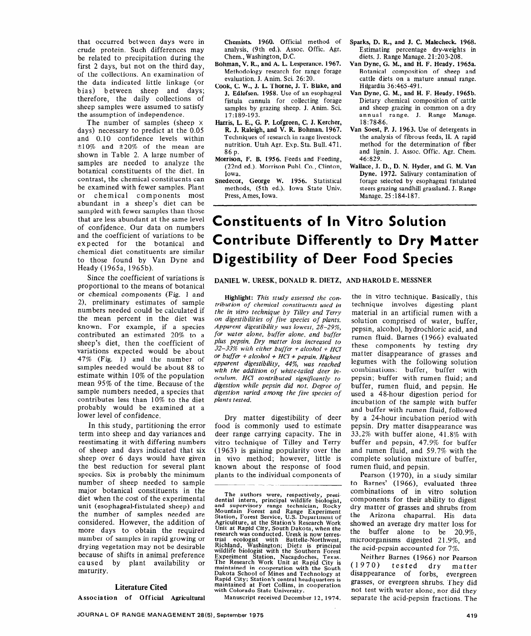# Constituents of In Vitro Solution Contribute Differently to Dry Matter Digestibility of Deer Food Species

### DANIEL W. URESK, DONALD R. DIETZ, AND HAROLD E. MESSNER

Highlight: *This study assessed the contribution of chemical constituents used in the in vitro technique by Tilley and Terry on digestibih'ties of five species of plants. Apparent digestibility was lowest, 28-29%, for water alone, buffer alone, and buffer plus pepsin. Dry matter loss increased to*  32-33% *with either buffer + alcohol + HCI or buffer + alcohol + HCI + pepsin. H,jghest apparent digestibility, 4475, was reached with the addition of white-tailed deer inoculum. HCI contributed significantly to digestion while pepsin did not. Degree of digestion varied among the five species of plants tested.* 

Dry matter digestibility of deer food is commonly used to estimate deer range carrying capacity. The in vitro technique of Tilley and Terry (1963) is gaining popularity over the in viva method; however, little is known about the response of food plants to the individual components of

The authors were, respectively, presidential intern, principal wildlife biologist, and supervisory range technician, Rocky Mountain Forest and Range Experiment Station, Forest Service, U.S. Department of Agriculture, at the Station's Research Work Unit at Rapid City, South Dakota, when the research was conducted. Uresk is now terres-<br>trial ecologist with Battelle-Northwest. with Battelle-Northwest. Richland, Washington; Dietz is principa<br>wildlife biologist with the Southern Fores Experiment Station, Nacagdoches, Texas. The Research Work Unit at Rapid City is maintained in cooperation with the South Dakota School of Mines and Technology at Rapid City; Station's central headquarters is maintained at Fort Collins, in cooperation with Colorado State University.

Manuscript received December 12, **1974.** 

the in vitro technique. Basically, this technique involves digesting plant material in an artificial rumen with a solution comprised of water, buffer, pepsin, alcohol, hydrochloric acid, and rumen fluid. Barnes (1966) evaluated these components by testing dry matter disappearance of grasses and legumes with the following solution combinations: buffer, buffer with pepsin; buffer with rumen fluid; and buffer, rumen fluid, and pepsin. He used a 48-hour digestion period for incubation of the sample with buffer and buffer with rumen fluid, followed by a 24-hour incubation period with pepsin. Dry matter disappearance was 33.2% with buffer alone, 41.8% with buffer and pepsin, 47.9% for buffer and rumen fluid, and 59.7% with the complete solution mixture of buffer, rumen fluid, and pepsin.

Pearson (1970), in a study similar to Barnes' (1966), evaluated three combinations of in vitro solution components for their ability to digest dry matter of grasses and shrubs from the Arizona chaparral. His data showed an average dry matter loss for the buffer alone to be 20.9%, microorganisms digested 21.9%, and the acid-pepsin accounted for 7%.

Neither Barnes (1966) nor Pearson (1970) tested dry matter disappearance of forbs, evergreen grasses, or evergreen shrubs. They did not test with water alone, nor did they separate the acid-pepsin fractions. The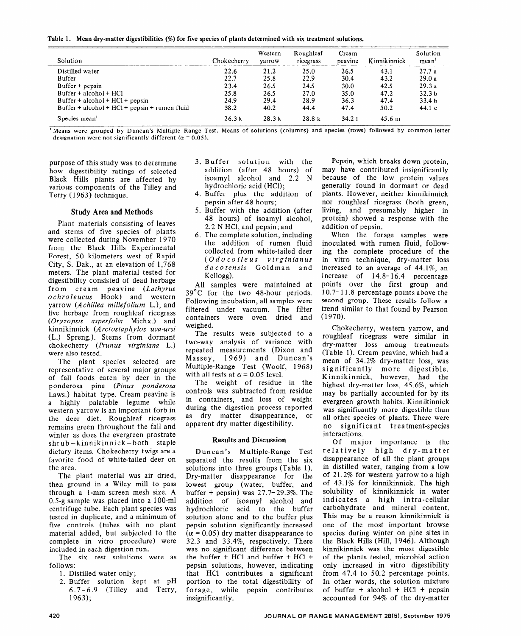**Table 1. Mean dry-matter digestibilities (%) for five species of plants determined with six treatment solutions.** 

| Solution                                        | Chokecherry | Western<br>varrow | Roughleaf<br>ricegrass | Cream<br>peavine | Kinnikinnick | Solution<br>mean <sup>1</sup> |
|-------------------------------------------------|-------------|-------------------|------------------------|------------------|--------------|-------------------------------|
| Distilled water                                 | 22.6        | 21.2              | 25.0                   | 26.5             | 43.1         | 27.7a                         |
| Buffer                                          | 22.7        | 25.8              | 22.9                   | 30.4             | 43.2         | 29.0a                         |
| $Buffer + pepsin$                               | 23.4        | 26.5              | 24.5                   | 30.0             | 42.5         | 29.3a                         |
| $Buffer + alcohol + HCl$                        | 25.8        | 26.5              | 27.0                   | 35.0             | 47.2         | 32.3 <sub>b</sub>             |
| $Buffer + alcohol + HCl + pepsin$               | 24.9        | 29.4              | 28.9                   | 36.3             | 47.4         | 33.4 <sub>b</sub>             |
| $Buffer + alcohol + HCl + pepsin + rumen fluid$ | 38.2        | 40.2              | 44.4                   | 47.4             | 50.2         | 44.1c                         |
| Species mean <sup>1</sup>                       | 26.3k       | 28.3k             | 28.8k                  | 34.21            | $45.6 \; m$  |                               |

<sup>1</sup> Means were grouped by Duncan's Multiple Range Test. Means of solutions (columns) and species (rows) followed by common letter designation were not significantly different ( $\alpha$  = 0.05).

purpose of this study was to determine how digestibility ratings of selected Black Hills plants are affected by various components of the Tilley and Terry (1963) technique.

## Study Area and Methods

Plant materials consisting of leaves and stems of five species of plants were collected during November 1970 from the Black Hills Experimental Forest, 50 kilometers west of Rapid City, S. Dak., at an elevation of 1,768 meters. The plant material tested for digestibility consisted of dead herbage from cream peavine (Lathyrus *ochroleucus* Hook) and western yarrow *(Achilles millefolium* L.), and live herbage from roughleaf ricegrass *(Oryzopsis asperfolia* Michx.) and kinnikinnick *(Arctostaphylos uva-ursi*  (L.) Spreng.). Stems from dormant chokecherry *(Prunus virginiana L.)* were also tested.

The plant species selected are representative of several major groups of fall foods eaten by deer in the ponderosa pine *(Pinus ponderosa*  Laws.) habitat type. Cream peavine is a highly palatable legume while western yarrow is an important forb in the deer diet. Roughleaf ricegrass remains green throughout the fall and winter as does the evergreen prostrate shrub -kinnikinnick-both staple dietary items. Chokecherry twigs are a favorite food of white-tailed deer on the area.

The plant material was air dried, then ground in a Wiley mill to pass through a l-mm screen mesh size. A 0.5-g sample was placed into a lOO-ml centrifuge tube. Each plant species was tested in duplicate, and a minimum of five controls (tubes with no plant material added, but subjected to the complete in vitro procedure) were included in each digestion run.

The six test solutions were as follows:

- 1. Distilled water only;
- 2. Buffer solution kept at pH 6.7-6.9 (Tilley and Terry, 1963);
- 3. Buffer solution with the addition (after 48 hours) of isoamyl alcohol and 2.2 N hydrochloric acid (HCl);
- 4. Buffer plus the addition of pepsin after 48 hours;
- 5. Buffer with the addition (after 48 hours) of isoamyl alcohol, 2.2 N HCl, and pepsin; and
- 6. The complete solution, including the addition of rumen fluid collected from white-tailed deer *(Odocoileus v irginianus da co tensis* Goldman and Kellogg).

All samples were maintained at 39'C for the two 48-hour periods. Following incubation, all samples were filtered under vacuum. The filter containers were oven dried and weighed.

The results were subjected to a two-way analysis of variance with repeated measurements (Dixon and Massey, 1969) and Duncan's Multiple-Range Test (Woolf, 1968) with all tests at  $\alpha$  = 0.05 level.

The weight of residue in the controls was subtracted from residue in containers, and loss of weight during the digestion process reported as dry matter disappearance, or apparent dry matter digestibility.

## Results and Discussion

Duncan's Multiple-Range Test separated the results from the six solutions into three groups (Table 1). Dry-matter disappearance for the lowest group (water, buffer, and buffer + pepsin) was  $27.7 - 29.3\%$ . The addition of isoamyl alcohol and hydrochloric acid to the buffer solution alone and to the buffer plus pepsin solution significantly increased  $(\alpha = 0.05)$  dry matter disappearance to 32.3 and 33.4%, respectively. There was no significant difference between the buffer  $+$  HCl and buffer  $+$  HCl  $+$ pepsin solutions, however, indicating that HCl contributes a significant portion to the total digestibility of forage, while pepsin contributes insignificantly.

Pepsin, which breaks down protein, may have contributed insignificantly because of the low protein values generally found in dormant or dead plants. However, neither kinnikinnick nor roughleaf ricegrass (both green, living, and presumably higher in protein) showed a response with the addition of pepsin.

When the forage samples were inoculated with rumen fluid, following the complete procedure of the in vitro technique, dry-matter loss increased to an average of 44.1%, an increase of 14.8- 16.4 percentage points over the first group and 10.7- 11.8 percentage points above the second group. These results follow a trend similar to that found by Pearson (1970).

Chokecherry, western yarrow, and roughleaf ricegrass were similar in dry-matter loss among treatments (Table 1). Cream peavine, which had a mean of 34.2% dry-matter loss, was significantly more digestible. Kinnikinnick, however, had the highest dry-matter loss, 45.6%, which may be partially accounted for by its evergreen growth habits. Kinnikinnick was significantly more digestible than all other species of plants. There were no significant treatment-species interactions.

Of major importance is the relatively high dry-matter disappearance of all the plant groups in distilled water, ranging from a low of 21.2% for western yarrow to a high of 43.1% for kinnikinnick. The high solubility of kinnikinnick in water indicates a high intra-cellular carbohydrate and mineral content. This may be a reason kinnikinnick is one of the most important browse species during winter on pine sites in the Black Hills (Hill, 1946). Although kinnikinnick was the most digestible of the plants tested, microbial action only increased in vitro digestibility from 47.4 to 50.2 percentage points. In other words, the solution mixture of buffer + alcohol +  $HC1$  + pepsin accounted for 94% of the dry-matter